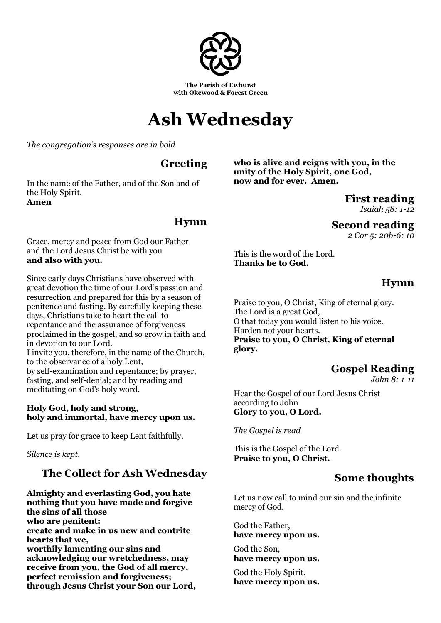

# **Ash Wednesday**

*The congregation's responses are in bold*

# **Greeting**

In the name of the Father, and of the Son and of the Holy Spirit. **Amen**

### **Hymn**

Grace, mercy and peace from God our Father and the Lord Jesus Christ be with you **and also with you.** 

Since early days Christians have observed with great devotion the time of our Lord's passion and resurrection and prepared for this by a season of penitence and fasting. By carefully keeping these days, Christians take to heart the call to repentance and the assurance of forgiveness proclaimed in the gospel, and so grow in faith and in devotion to our Lord. I invite you, therefore, in the name of the Church, to the observance of a holy Lent,

by self-examination and repentance; by prayer, fasting, and self-denial; and by reading and meditating on God's holy word.

### **Holy God, holy and strong, holy and immortal, have mercy upon us.**

Let us pray for grace to keep Lent faithfully.

*Silence is kept.* 

# **The Collect for Ash Wednesday**

**Almighty and everlasting God, you hate nothing that you have made and forgive the sins of all those who are penitent: create and make in us new and contrite hearts that we, worthily lamenting our sins and acknowledging our wretchedness, may receive from you, the God of all mercy, perfect remission and forgiveness; through Jesus Christ your Son our Lord,** **who is alive and reigns with you, in the unity of the Holy Spirit, one God, now and for ever. Amen.**

> **First reading** *Isaiah 58: 1-12*

# **Second reading**

*2 Cor 5: 20b-6: 10*

This is the word of the Lord. **Thanks be to God.**

# **Hymn**

Praise to you, O Christ, King of eternal glory. The Lord is a great God, O that today you would listen to his voice. Harden not your hearts. **Praise to you, O Christ, King of eternal glory.**

# **Gospel Reading**

*John 8: 1-11*

Hear the Gospel of our Lord Jesus Christ according to John **Glory to you, O Lord.**

*The Gospel is read*

This is the Gospel of the Lord. **Praise to you, O Christ.**

# **Some thoughts**

Let us now call to mind our sin and the infinite mercy of God.

God the Father, **have mercy upon us.**

God the Son, **have mercy upon us.**

God the Holy Spirit, **have mercy upon us.**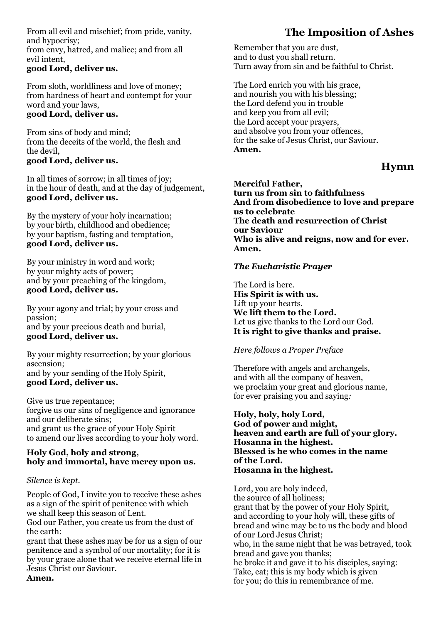From all evil and mischief; from pride, vanity, and hypocrisy; from envy, hatred, and malice; and from all evil intent, **good Lord, deliver us.** 

From sloth, worldliness and love of money; from hardness of heart and contempt for your word and your laws, **good Lord, deliver us.** 

From sins of body and mind; from the deceits of the world, the flesh and the devil, **good Lord, deliver us.** 

In all times of sorrow; in all times of joy; in the hour of death, and at the day of judgement, **good Lord, deliver us.** 

By the mystery of your holy incarnation; by your birth, childhood and obedience; by your baptism, fasting and temptation, **good Lord, deliver us.** 

By your ministry in word and work; by your mighty acts of power; and by your preaching of the kingdom, **good Lord, deliver us.** 

By your agony and trial; by your cross and passion; and by your precious death and burial, **good Lord, deliver us.** 

By your mighty resurrection; by your glorious ascension; and by your sending of the Holy Spirit, **good Lord, deliver us.** 

Give us true repentance; forgive us our sins of negligence and ignorance and our deliberate sins; and grant us the grace of your Holy Spirit to amend our lives according to your holy word.

### **Holy God, holy and strong, holy and immortal, have mercy upon us.**

### *Silence is kept.*

People of God, I invite you to receive these ashes as a sign of the spirit of penitence with which we shall keep this season of Lent.

God our Father, you create us from the dust of the earth:

grant that these ashes may be for us a sign of our penitence and a symbol of our mortality; for it is by your grace alone that we receive eternal life in Jesus Christ our Saviour.

### **Amen.**

# **The Imposition of Ashes**

Remember that you are dust, and to dust you shall return. Turn away from sin and be faithful to Christ.

The Lord enrich you with his grace, and nourish you with his blessing; the Lord defend you in trouble and keep you from all evil; the Lord accept your prayers, and absolve you from your offences, for the sake of Jesus Christ, our Saviour. **Amen.** 

# **Hymn**

**Merciful Father, turn us from sin to faithfulness And from disobedience to love and prepare us to celebrate The death and resurrection of Christ our Saviour Who is alive and reigns, now and for ever. Amen.** 

### *The Eucharistic Prayer*

The Lord is here. **His Spirit is with us.**  Lift up your hearts. **We lift them to the Lord.**  Let us give thanks to the Lord our God. **It is right to give thanks and praise.** 

### *Here follows a Proper Preface*

Therefore with angels and archangels, and with all the company of heaven, we proclaim your great and glorious name, for ever praising you and saying*:* 

**Holy, holy, holy Lord, God of power and might, heaven and earth are full of your glory. Hosanna in the highest. Blessed is he who comes in the name of the Lord. Hosanna in the highest.** 

Lord, you are holy indeed, the source of all holiness; grant that by the power of your Holy Spirit, and according to your holy will, these gifts of bread and wine may be to us the body and blood of our Lord Jesus Christ; who, in the same night that he was betrayed, took bread and gave you thanks; he broke it and gave it to his disciples, saying: Take, eat; this is my body which is given for you; do this in remembrance of me.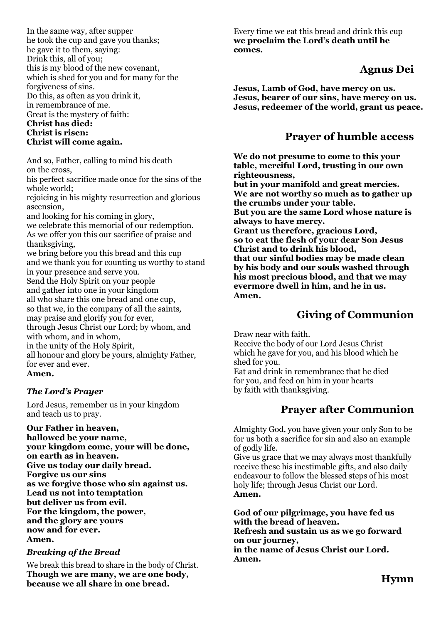In the same way, after supper he took the cup and gave you thanks; he gave it to them, saying: Drink this, all of you; this is my blood of the new covenant, which is shed for you and for many for the forgiveness of sins. Do this, as often as you drink it, in remembrance of me. Great is the mystery of faith: **Christ has died: Christ is risen: Christ will come again.**  And so, Father, calling to mind his death

on the cross, his perfect sacrifice made once for the sins of the

whole world; rejoicing in his mighty resurrection and glorious ascension,

and looking for his coming in glory,

we celebrate this memorial of our redemption. As we offer you this our sacrifice of praise and thanksgiving,

we bring before you this bread and this cup and we thank you for counting us worthy to stand in your presence and serve you. Send the Holy Spirit on your people and gather into one in your kingdom all who share this one bread and one cup, so that we, in the company of all the saints*,*  may praise and glorify you for ever, through Jesus Christ our Lord; by whom, and with whom, and in whom, in the unity of the Holy Spirit, all honour and glory be yours, almighty Father, for ever and ever.

**Amen.** 

### *The Lord's Prayer*

Lord Jesus, remember us in your kingdom and teach us to pray.

**Our Father in heaven, hallowed be your name, your kingdom come, your will be done, on earth as in heaven. Give us today our daily bread. Forgive us our sins as we forgive those who sin against us. Lead us not into temptation but deliver us from evil. For the kingdom, the power, and the glory are yours now and for ever. Amen.** 

### *Breaking of the Bread*

We break this bread to share in the body of Christ. **Though we are many, we are one body, because we all share in one bread.** 

Every time we eat this bread and drink this cup **we proclaim the Lord's death until he comes.**

# **Agnus Dei**

**Jesus, Lamb of God, have mercy on us. Jesus, bearer of our sins, have mercy on us. Jesus, redeemer of the world, grant us peace.** 

# **Prayer of humble access**

**We do not presume to come to this your table, merciful Lord, trusting in our own righteousness,**

**but in your manifold and great mercies. We are not worthy so much as to gather up the crumbs under your table.**

**But you are the same Lord whose nature is always to have mercy.**

**Grant us therefore, gracious Lord, so to eat the flesh of your dear Son Jesus Christ and to drink his blood, that our sinful bodies may be made clean** 

**by his body and our souls washed through his most precious blood, and that we may evermore dwell in him, and he in us. Amen.**

# **Giving of Communion**

Draw near with faith.

Receive the body of our Lord Jesus Christ which he gave for you, and his blood which he shed for you.

Eat and drink in remembrance that he died for you, and feed on him in your hearts by faith with thanksgiving.

# **Prayer after Communion**

Almighty God, you have given your only Son to be for us both a sacrifice for sin and also an example of godly life.

Give us grace that we may always most thankfully receive these his inestimable gifts, and also daily endeavour to follow the blessed steps of his most holy life; through Jesus Christ our Lord. **Amen.**

**God of our pilgrimage, you have fed us with the bread of heaven. Refresh and sustain us as we go forward on our journey, in the name of Jesus Christ our Lord. Amen.**